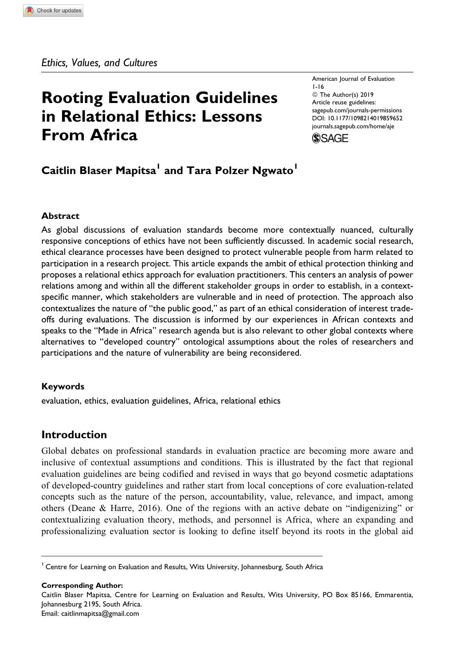# Rooting Evaluation Guidelines in Relational Ethics: Lessons From Africa

American Journal of Evaluation 1-16 © The Author(s) 2019 Article reuse guidelines: [sagepub.com/journals-permissions](https://sagepub.com/journals-permissions) [DOI: 10.1177/1098214019859652](https://doi.org/10.1177/1098214019859652) [journals.sagepub.com/home/aje](http://journals.sagepub.com/home/aje)



# Caitlin Blaser Mapitsa<sup>1</sup> and Tara Polzer Ngwato<sup>1</sup>

## Abstract

As global discussions of evaluation standards become more contextually nuanced, culturally responsive conceptions of ethics have not been sufficiently discussed. In academic social research, ethical clearance processes have been designed to protect vulnerable people from harm related to participation in a research project. This article expands the ambit of ethical protection thinking and proposes a relational ethics approach for evaluation practitioners. This centers an analysis of power relations among and within all the different stakeholder groups in order to establish, in a contextspecific manner, which stakeholders are vulnerable and in need of protection. The approach also contextualizes the nature of "the public good," as part of an ethical consideration of interest tradeoffs during evaluations. The discussion is informed by our experiences in African contexts and speaks to the "Made in Africa" research agenda but is also relevant to other global contexts where alternatives to "developed country" ontological assumptions about the roles of researchers and participations and the nature of vulnerability are being reconsidered.

## Keywords

evaluation, ethics, evaluation guidelines, Africa, relational ethics

# Introduction

Global debates on professional standards in evaluation practice are becoming more aware and inclusive of contextual assumptions and conditions. This is illustrated by the fact that regional evaluation guidelines are being codified and revised in ways that go beyond cosmetic adaptations of developed-country guidelines and rather start from local conceptions of core evaluation-related concepts such as the nature of the person, accountability, value, relevance, and impact, among others (Deane & Harre, 2016). One of the regions with an active debate on "indigenizing" or contextualizing evaluation theory, methods, and personnel is Africa, where an expanding and professionalizing evaluation sector is looking to define itself beyond its roots in the global aid

Corresponding Author: Caitlin Blaser Mapitsa, Centre for Learning on Evaluation and Results, Wits University, PO Box 85166, Emmarentia, Johannesburg 2195, South Africa. Email: [caitlinmapitsa@gmail.com](mailto:caitlinmapitsa@gmail.com)

<sup>&</sup>lt;sup>1</sup> Centre for Learning on Evaluation and Results, Wits University, Johannesburg, South Africa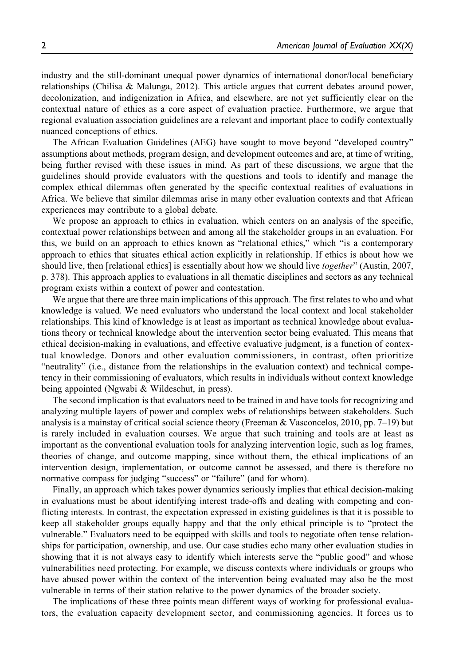industry and the still-dominant unequal power dynamics of international donor/local beneficiary relationships (Chilisa & Malunga, 2012). This article argues that current debates around power, decolonization, and indigenization in Africa, and elsewhere, are not yet sufficiently clear on the contextual nature of ethics as a core aspect of evaluation practice. Furthermore, we argue that regional evaluation association guidelines are a relevant and important place to codify contextually nuanced conceptions of ethics.

The African Evaluation Guidelines (AEG) have sought to move beyond "developed country" assumptions about methods, program design, and development outcomes and are, at time of writing, being further revised with these issues in mind. As part of these discussions, we argue that the guidelines should provide evaluators with the questions and tools to identify and manage the complex ethical dilemmas often generated by the specific contextual realities of evaluations in Africa. We believe that similar dilemmas arise in many other evaluation contexts and that African experiences may contribute to a global debate.

We propose an approach to ethics in evaluation, which centers on an analysis of the specific, contextual power relationships between and among all the stakeholder groups in an evaluation. For this, we build on an approach to ethics known as "relational ethics," which "is a contemporary approach to ethics that situates ethical action explicitly in relationship. If ethics is about how we should live, then [relational ethics] is essentially about how we should live together" (Austin, 2007, p. 378). This approach applies to evaluations in all thematic disciplines and sectors as any technical program exists within a context of power and contestation.

We argue that there are three main implications of this approach. The first relates to who and what knowledge is valued. We need evaluators who understand the local context and local stakeholder relationships. This kind of knowledge is at least as important as technical knowledge about evaluations theory or technical knowledge about the intervention sector being evaluated. This means that ethical decision-making in evaluations, and effective evaluative judgment, is a function of contextual knowledge. Donors and other evaluation commissioners, in contrast, often prioritize "neutrality" (i.e., distance from the relationships in the evaluation context) and technical competency in their commissioning of evaluators, which results in individuals without context knowledge being appointed (Ngwabi & Wildeschut, in press).

The second implication is that evaluators need to be trained in and have tools for recognizing and analyzing multiple layers of power and complex webs of relationships between stakeholders. Such analysis is a mainstay of critical social science theory (Freeman & Vasconcelos, 2010, pp. 7–19) but is rarely included in evaluation courses. We argue that such training and tools are at least as important as the conventional evaluation tools for analyzing intervention logic, such as log frames, theories of change, and outcome mapping, since without them, the ethical implications of an intervention design, implementation, or outcome cannot be assessed, and there is therefore no normative compass for judging "success" or "failure" (and for whom).

Finally, an approach which takes power dynamics seriously implies that ethical decision-making in evaluations must be about identifying interest trade-offs and dealing with competing and conflicting interests. In contrast, the expectation expressed in existing guidelines is that it is possible to keep all stakeholder groups equally happy and that the only ethical principle is to "protect the vulnerable." Evaluators need to be equipped with skills and tools to negotiate often tense relationships for participation, ownership, and use. Our case studies echo many other evaluation studies in showing that it is not always easy to identify which interests serve the "public good" and whose vulnerabilities need protecting. For example, we discuss contexts where individuals or groups who have abused power within the context of the intervention being evaluated may also be the most vulnerable in terms of their station relative to the power dynamics of the broader society.

The implications of these three points mean different ways of working for professional evaluators, the evaluation capacity development sector, and commissioning agencies. It forces us to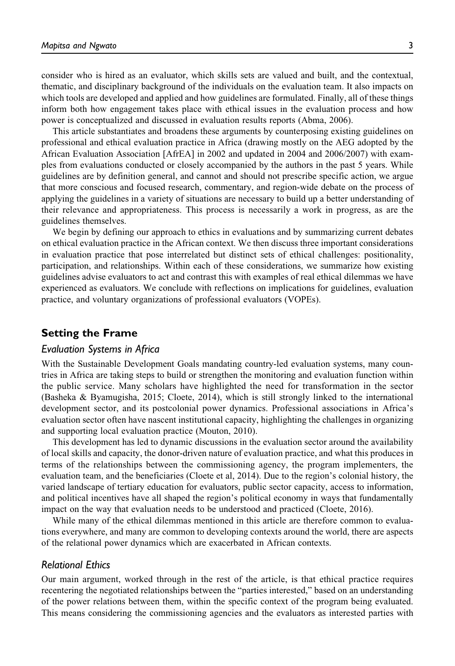consider who is hired as an evaluator, which skills sets are valued and built, and the contextual, thematic, and disciplinary background of the individuals on the evaluation team. It also impacts on which tools are developed and applied and how guidelines are formulated. Finally, all of these things inform both how engagement takes place with ethical issues in the evaluation process and how power is conceptualized and discussed in evaluation results reports (Abma, 2006).

This article substantiates and broadens these arguments by counterposing existing guidelines on professional and ethical evaluation practice in Africa (drawing mostly on the AEG adopted by the African Evaluation Association [AfrEA] in 2002 and updated in 2004 and 2006/2007) with examples from evaluations conducted or closely accompanied by the authors in the past 5 years. While guidelines are by definition general, and cannot and should not prescribe specific action, we argue that more conscious and focused research, commentary, and region-wide debate on the process of applying the guidelines in a variety of situations are necessary to build up a better understanding of their relevance and appropriateness. This process is necessarily a work in progress, as are the guidelines themselves.

We begin by defining our approach to ethics in evaluations and by summarizing current debates on ethical evaluation practice in the African context. We then discuss three important considerations in evaluation practice that pose interrelated but distinct sets of ethical challenges: positionality, participation, and relationships. Within each of these considerations, we summarize how existing guidelines advise evaluators to act and contrast this with examples of real ethical dilemmas we have experienced as evaluators. We conclude with reflections on implications for guidelines, evaluation practice, and voluntary organizations of professional evaluators (VOPEs).

# Setting the Frame

## Evaluation Systems in Africa

With the Sustainable Development Goals mandating country-led evaluation systems, many countries in Africa are taking steps to build or strengthen the monitoring and evaluation function within the public service. Many scholars have highlighted the need for transformation in the sector (Basheka & Byamugisha, 2015; Cloete, 2014), which is still strongly linked to the international development sector, and its postcolonial power dynamics. Professional associations in Africa's evaluation sector often have nascent institutional capacity, highlighting the challenges in organizing and supporting local evaluation practice (Mouton, 2010).

This development has led to dynamic discussions in the evaluation sector around the availability of local skills and capacity, the donor-driven nature of evaluation practice, and what this produces in terms of the relationships between the commissioning agency, the program implementers, the evaluation team, and the beneficiaries (Cloete et al, 2014). Due to the region's colonial history, the varied landscape of tertiary education for evaluators, public sector capacity, access to information, and political incentives have all shaped the region's political economy in ways that fundamentally impact on the way that evaluation needs to be understood and practiced (Cloete, 2016).

While many of the ethical dilemmas mentioned in this article are therefore common to evaluations everywhere, and many are common to developing contexts around the world, there are aspects of the relational power dynamics which are exacerbated in African contexts.

# Relational Ethics

Our main argument, worked through in the rest of the article, is that ethical practice requires recentering the negotiated relationships between the "parties interested," based on an understanding of the power relations between them, within the specific context of the program being evaluated. This means considering the commissioning agencies and the evaluators as interested parties with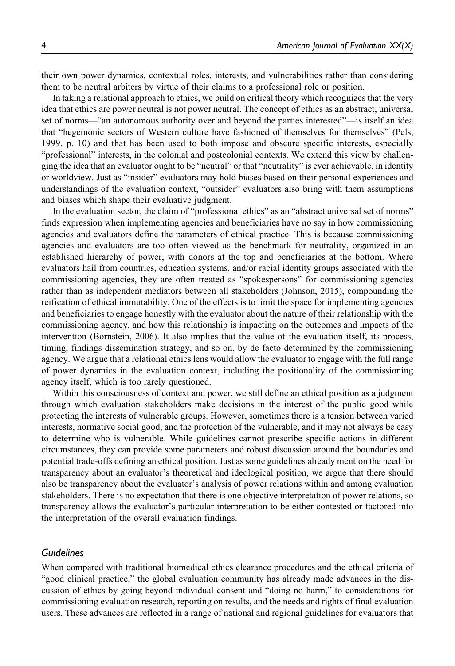their own power dynamics, contextual roles, interests, and vulnerabilities rather than considering them to be neutral arbiters by virtue of their claims to a professional role or position.

In taking a relational approach to ethics, we build on critical theory which recognizes that the very idea that ethics are power neutral is not power neutral. The concept of ethics as an abstract, universal set of norms—"an autonomous authority over and beyond the parties interested"—is itself an idea that "hegemonic sectors of Western culture have fashioned of themselves for themselves" (Pels, 1999, p. 10) and that has been used to both impose and obscure specific interests, especially "professional" interests, in the colonial and postcolonial contexts. We extend this view by challenging the idea that an evaluator ought to be "neutral" or that "neutrality" is ever achievable, in identity or worldview. Just as "insider" evaluators may hold biases based on their personal experiences and understandings of the evaluation context, "outsider" evaluators also bring with them assumptions and biases which shape their evaluative judgment.

In the evaluation sector, the claim of "professional ethics" as an "abstract universal set of norms" finds expression when implementing agencies and beneficiaries have no say in how commissioning agencies and evaluators define the parameters of ethical practice. This is because commissioning agencies and evaluators are too often viewed as the benchmark for neutrality, organized in an established hierarchy of power, with donors at the top and beneficiaries at the bottom. Where evaluators hail from countries, education systems, and/or racial identity groups associated with the commissioning agencies, they are often treated as "spokespersons" for commissioning agencies rather than as independent mediators between all stakeholders (Johnson, 2015), compounding the reification of ethical immutability. One of the effects is to limit the space for implementing agencies and beneficiaries to engage honestly with the evaluator about the nature of their relationship with the commissioning agency, and how this relationship is impacting on the outcomes and impacts of the intervention (Bornstein, 2006). It also implies that the value of the evaluation itself, its process, timing, findings dissemination strategy, and so on, by de facto determined by the commissioning agency. We argue that a relational ethics lens would allow the evaluator to engage with the full range of power dynamics in the evaluation context, including the positionality of the commissioning agency itself, which is too rarely questioned.

Within this consciousness of context and power, we still define an ethical position as a judgment through which evaluation stakeholders make decisions in the interest of the public good while protecting the interests of vulnerable groups. However, sometimes there is a tension between varied interests, normative social good, and the protection of the vulnerable, and it may not always be easy to determine who is vulnerable. While guidelines cannot prescribe specific actions in different circumstances, they can provide some parameters and robust discussion around the boundaries and potential trade-offs defining an ethical position. Just as some guidelines already mention the need for transparency about an evaluator's theoretical and ideological position, we argue that there should also be transparency about the evaluator's analysis of power relations within and among evaluation stakeholders. There is no expectation that there is one objective interpretation of power relations, so transparency allows the evaluator's particular interpretation to be either contested or factored into the interpretation of the overall evaluation findings.

# Guidelines

When compared with traditional biomedical ethics clearance procedures and the ethical criteria of "good clinical practice," the global evaluation community has already made advances in the discussion of ethics by going beyond individual consent and "doing no harm," to considerations for commissioning evaluation research, reporting on results, and the needs and rights of final evaluation users. These advances are reflected in a range of national and regional guidelines for evaluators that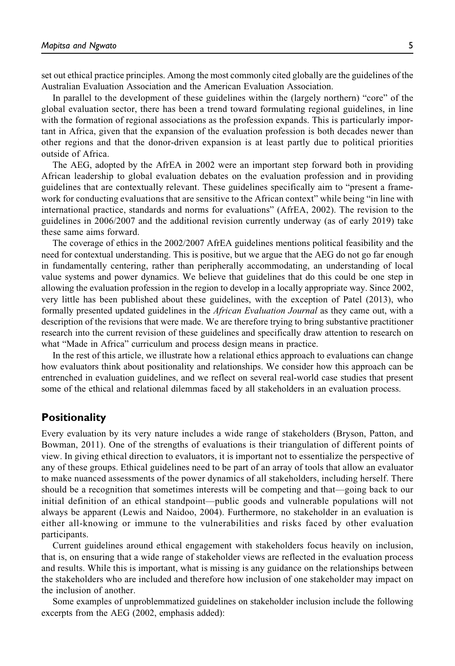In parallel to the development of these guidelines within the (largely northern) "core" of the global evaluation sector, there has been a trend toward formulating regional guidelines, in line with the formation of regional associations as the profession expands. This is particularly important in Africa, given that the expansion of the evaluation profession is both decades newer than other regions and that the donor-driven expansion is at least partly due to political priorities outside of Africa.

The AEG, adopted by the AfrEA in 2002 were an important step forward both in providing African leadership to global evaluation debates on the evaluation profession and in providing guidelines that are contextually relevant. These guidelines specifically aim to "present a framework for conducting evaluations that are sensitive to the African context" while being "in line with international practice, standards and norms for evaluations" (AfrEA, 2002). The revision to the guidelines in 2006/2007 and the additional revision currently underway (as of early 2019) take these same aims forward.

The coverage of ethics in the 2002/2007 AfrEA guidelines mentions political feasibility and the need for contextual understanding. This is positive, but we argue that the AEG do not go far enough in fundamentally centering, rather than peripherally accommodating, an understanding of local value systems and power dynamics. We believe that guidelines that do this could be one step in allowing the evaluation profession in the region to develop in a locally appropriate way. Since 2002, very little has been published about these guidelines, with the exception of Patel (2013), who formally presented updated guidelines in the African Evaluation Journal as they came out, with a description of the revisions that were made. We are therefore trying to bring substantive practitioner research into the current revision of these guidelines and specifically draw attention to research on what "Made in Africa" curriculum and process design means in practice.

In the rest of this article, we illustrate how a relational ethics approach to evaluations can change how evaluators think about positionality and relationships. We consider how this approach can be entrenched in evaluation guidelines, and we reflect on several real-world case studies that present some of the ethical and relational dilemmas faced by all stakeholders in an evaluation process.

# **Positionality**

Every evaluation by its very nature includes a wide range of stakeholders (Bryson, Patton, and Bowman, 2011). One of the strengths of evaluations is their triangulation of different points of view. In giving ethical direction to evaluators, it is important not to essentialize the perspective of any of these groups. Ethical guidelines need to be part of an array of tools that allow an evaluator to make nuanced assessments of the power dynamics of all stakeholders, including herself. There should be a recognition that sometimes interests will be competing and that—going back to our initial definition of an ethical standpoint—public goods and vulnerable populations will not always be apparent (Lewis and Naidoo, 2004). Furthermore, no stakeholder in an evaluation is either all-knowing or immune to the vulnerabilities and risks faced by other evaluation participants.

Current guidelines around ethical engagement with stakeholders focus heavily on inclusion, that is, on ensuring that a wide range of stakeholder views are reflected in the evaluation process and results. While this is important, what is missing is any guidance on the relationships between the stakeholders who are included and therefore how inclusion of one stakeholder may impact on the inclusion of another.

Some examples of unproblemmatized guidelines on stakeholder inclusion include the following excerpts from the AEG (2002, emphasis added):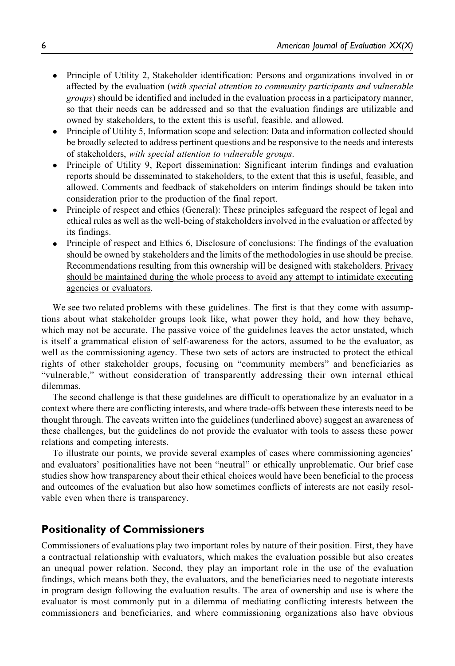- $\bullet$  Principle of Utility 2, Stakeholder identification: Persons and organizations involved in or affected by the evaluation (with special attention to community participants and vulnerable groups) should be identified and included in the evaluation process in a participatory manner, so that their needs can be addressed and so that the evaluation findings are utilizable and owned by stakeholders, to the extent this is useful, feasible, and allowed.
- $\bullet$  Principle of Utility 5, Information scope and selection: Data and information collected should be broadly selected to address pertinent questions and be responsive to the needs and interests of stakeholders, with special attention to vulnerable groups.
- Principle of Utility 9, Report dissemination: Significant interim findings and evaluation reports should be disseminated to stakeholders, to the extent that this is useful, feasible, and allowed. Comments and feedback of stakeholders on interim findings should be taken into consideration prior to the production of the final report.
- Principle of respect and ethics (General): These principles safeguard the respect of legal and ethical rules as well as the well-being of stakeholders involved in the evaluation or affected by its findings.
- $\bullet$  Principle of respect and Ethics 6, Disclosure of conclusions: The findings of the evaluation should be owned by stakeholders and the limits of the methodologies in use should be precise. Recommendations resulting from this ownership will be designed with stakeholders. Privacy should be maintained during the whole process to avoid any attempt to intimidate executing agencies or evaluators.

We see two related problems with these guidelines. The first is that they come with assumptions about what stakeholder groups look like, what power they hold, and how they behave, which may not be accurate. The passive voice of the guidelines leaves the actor unstated, which is itself a grammatical elision of self-awareness for the actors, assumed to be the evaluator, as well as the commissioning agency. These two sets of actors are instructed to protect the ethical rights of other stakeholder groups, focusing on "community members" and beneficiaries as "vulnerable," without consideration of transparently addressing their own internal ethical dilemmas.

The second challenge is that these guidelines are difficult to operationalize by an evaluator in a context where there are conflicting interests, and where trade-offs between these interests need to be thought through. The caveats written into the guidelines (underlined above) suggest an awareness of these challenges, but the guidelines do not provide the evaluator with tools to assess these power relations and competing interests.

To illustrate our points, we provide several examples of cases where commissioning agencies' and evaluators' positionalities have not been "neutral" or ethically unproblematic. Our brief case studies show how transparency about their ethical choices would have been beneficial to the process and outcomes of the evaluation but also how sometimes conflicts of interests are not easily resolvable even when there is transparency.

# Positionality of Commissioners

Commissioners of evaluations play two important roles by nature of their position. First, they have a contractual relationship with evaluators, which makes the evaluation possible but also creates an unequal power relation. Second, they play an important role in the use of the evaluation findings, which means both they, the evaluators, and the beneficiaries need to negotiate interests in program design following the evaluation results. The area of ownership and use is where the evaluator is most commonly put in a dilemma of mediating conflicting interests between the commissioners and beneficiaries, and where commissioning organizations also have obvious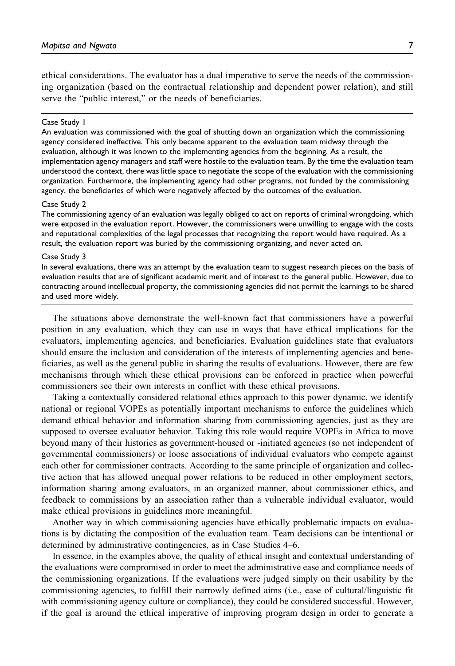ethical considerations. The evaluator has a dual imperative to serve the needs of the commissioning organization (based on the contractual relationship and dependent power relation), and still serve the "public interest," or the needs of beneficiaries.

#### Case Study 1

An evaluation was commissioned with the goal of shutting down an organization which the commissioning agency considered ineffective. This only became apparent to the evaluation team midway through the evaluation, although it was known to the implementing agencies from the beginning. As a result, the implementation agency managers and staff were hostile to the evaluation team. By the time the evaluation team understood the context, there was little space to negotiate the scope of the evaluation with the commissioning organization. Furthermore, the implementing agency had other programs, not funded by the commissioning agency, the beneficiaries of which were negatively affected by the outcomes of the evaluation.

#### Case Study 2

The commissioning agency of an evaluation was legally obliged to act on reports of criminal wrongdoing, which were exposed in the evaluation report. However, the commissioners were unwilling to engage with the costs and reputational complexities of the legal processes that recognizing the report would have required. As a result, the evaluation report was buried by the commissioning organizing, and never acted on.

#### Case Study 3

In several evaluations, there was an attempt by the evaluation team to suggest research pieces on the basis of evaluation results that are of significant academic merit and of interest to the general public. However, due to contracting around intellectual property, the commissioning agencies did not permit the learnings to be shared and used more widely.

The situations above demonstrate the well-known fact that commissioners have a powerful position in any evaluation, which they can use in ways that have ethical implications for the evaluators, implementing agencies, and beneficiaries. Evaluation guidelines state that evaluators should ensure the inclusion and consideration of the interests of implementing agencies and beneficiaries, as well as the general public in sharing the results of evaluations. However, there are few mechanisms through which these ethical provisions can be enforced in practice when powerful commissioners see their own interests in conflict with these ethical provisions.

Taking a contextually considered relational ethics approach to this power dynamic, we identify national or regional VOPEs as potentially important mechanisms to enforce the guidelines which demand ethical behavior and information sharing from commissioning agencies, just as they are supposed to oversee evaluator behavior. Taking this role would require VOPEs in Africa to move beyond many of their histories as government-housed or -initiated agencies (so not independent of governmental commissioners) or loose associations of individual evaluators who compete against each other for commissioner contracts. According to the same principle of organization and collective action that has allowed unequal power relations to be reduced in other employment sectors, information sharing among evaluators, in an organized manner, about commissioner ethics, and feedback to commissions by an association rather than a vulnerable individual evaluator, would make ethical provisions in guidelines more meaningful.

Another way in which commissioning agencies have ethically problematic impacts on evaluations is by dictating the composition of the evaluation team. Team decisions can be intentional or determined by administrative contingencies, as in Case Studies 4–6.

In essence, in the examples above, the quality of ethical insight and contextual understanding of the evaluations were compromised in order to meet the administrative ease and compliance needs of the commissioning organizations. If the evaluations were judged simply on their usability by the commissioning agencies, to fulfill their narrowly defined aims (i.e., ease of cultural/linguistic fit with commissioning agency culture or compliance), they could be considered successful. However, if the goal is around the ethical imperative of improving program design in order to generate a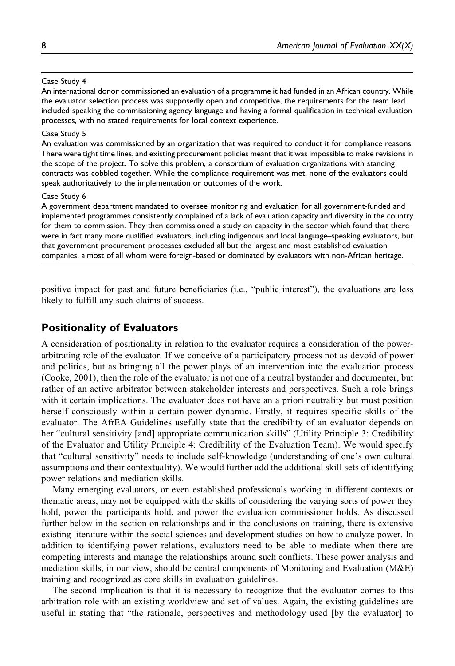#### Case Study 4

An international donor commissioned an evaluation of a programme it had funded in an African country. While the evaluator selection process was supposedly open and competitive, the requirements for the team lead included speaking the commissioning agency language and having a formal qualification in technical evaluation processes, with no stated requirements for local context experience.

#### Case Study 5

An evaluation was commissioned by an organization that was required to conduct it for compliance reasons. There were tight time lines, and existing procurement policies meant that it was impossible to make revisions in the scope of the project. To solve this problem, a consortium of evaluation organizations with standing contracts was cobbled together. While the compliance requirement was met, none of the evaluators could speak authoritatively to the implementation or outcomes of the work.

#### Case Study 6

A government department mandated to oversee monitoring and evaluation for all government-funded and implemented programmes consistently complained of a lack of evaluation capacity and diversity in the country for them to commission. They then commissioned a study on capacity in the sector which found that there were in fact many more qualified evaluators, including indigenous and local language–speaking evaluators, but that government procurement processes excluded all but the largest and most established evaluation companies, almost of all whom were foreign-based or dominated by evaluators with non-African heritage.

positive impact for past and future beneficiaries (i.e., "public interest"), the evaluations are less likely to fulfill any such claims of success.

# Positionality of Evaluators

A consideration of positionality in relation to the evaluator requires a consideration of the powerarbitrating role of the evaluator. If we conceive of a participatory process not as devoid of power and politics, but as bringing all the power plays of an intervention into the evaluation process (Cooke, 2001), then the role of the evaluator is not one of a neutral bystander and documenter, but rather of an active arbitrator between stakeholder interests and perspectives. Such a role brings with it certain implications. The evaluator does not have an a priori neutrality but must position herself consciously within a certain power dynamic. Firstly, it requires specific skills of the evaluator. The AfrEA Guidelines usefully state that the credibility of an evaluator depends on her "cultural sensitivity [and] appropriate communication skills" (Utility Principle 3: Credibility of the Evaluator and Utility Principle 4: Credibility of the Evaluation Team). We would specify that "cultural sensitivity" needs to include self-knowledge (understanding of one's own cultural assumptions and their contextuality). We would further add the additional skill sets of identifying power relations and mediation skills.

Many emerging evaluators, or even established professionals working in different contexts or thematic areas, may not be equipped with the skills of considering the varying sorts of power they hold, power the participants hold, and power the evaluation commissioner holds. As discussed further below in the section on relationships and in the conclusions on training, there is extensive existing literature within the social sciences and development studies on how to analyze power. In addition to identifying power relations, evaluators need to be able to mediate when there are competing interests and manage the relationships around such conflicts. These power analysis and mediation skills, in our view, should be central components of Monitoring and Evaluation (M&E) training and recognized as core skills in evaluation guidelines.

The second implication is that it is necessary to recognize that the evaluator comes to this arbitration role with an existing worldview and set of values. Again, the existing guidelines are useful in stating that "the rationale, perspectives and methodology used [by the evaluator] to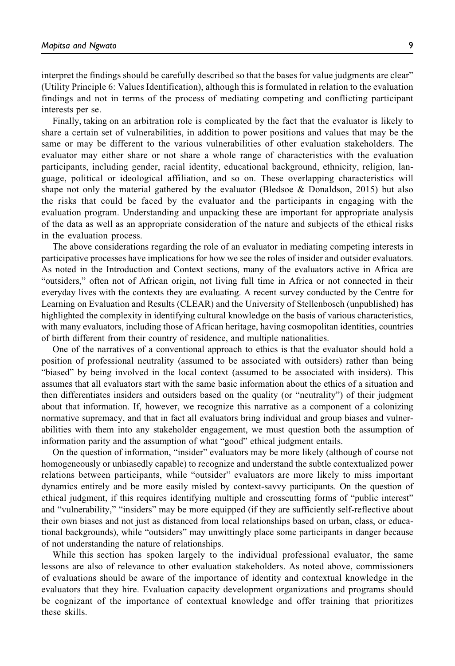interpret the findings should be carefully described so that the bases for value judgments are clear" (Utility Principle 6: Values Identification), although this is formulated in relation to the evaluation findings and not in terms of the process of mediating competing and conflicting participant interests per se.

Finally, taking on an arbitration role is complicated by the fact that the evaluator is likely to share a certain set of vulnerabilities, in addition to power positions and values that may be the same or may be different to the various vulnerabilities of other evaluation stakeholders. The evaluator may either share or not share a whole range of characteristics with the evaluation participants, including gender, racial identity, educational background, ethnicity, religion, language, political or ideological affiliation, and so on. These overlapping characteristics will shape not only the material gathered by the evaluator (Bledsoe & Donaldson, 2015) but also the risks that could be faced by the evaluator and the participants in engaging with the evaluation program. Understanding and unpacking these are important for appropriate analysis of the data as well as an appropriate consideration of the nature and subjects of the ethical risks in the evaluation process.

The above considerations regarding the role of an evaluator in mediating competing interests in participative processes have implications for how we see the roles of insider and outsider evaluators. As noted in the Introduction and Context sections, many of the evaluators active in Africa are "outsiders," often not of African origin, not living full time in Africa or not connected in their everyday lives with the contexts they are evaluating. A recent survey conducted by the Centre for Learning on Evaluation and Results (CLEAR) and the University of Stellenbosch (unpublished) has highlighted the complexity in identifying cultural knowledge on the basis of various characteristics, with many evaluators, including those of African heritage, having cosmopolitan identities, countries of birth different from their country of residence, and multiple nationalities.

One of the narratives of a conventional approach to ethics is that the evaluator should hold a position of professional neutrality (assumed to be associated with outsiders) rather than being "biased" by being involved in the local context (assumed to be associated with insiders). This assumes that all evaluators start with the same basic information about the ethics of a situation and then differentiates insiders and outsiders based on the quality (or "neutrality") of their judgment about that information. If, however, we recognize this narrative as a component of a colonizing normative supremacy, and that in fact all evaluators bring individual and group biases and vulnerabilities with them into any stakeholder engagement, we must question both the assumption of information parity and the assumption of what "good" ethical judgment entails.

On the question of information, "insider" evaluators may be more likely (although of course not homogeneously or unbiasedly capable) to recognize and understand the subtle contextualized power relations between participants, while "outsider" evaluators are more likely to miss important dynamics entirely and be more easily misled by context-savvy participants. On the question of ethical judgment, if this requires identifying multiple and crosscutting forms of "public interest" and "vulnerability," "insiders" may be more equipped (if they are sufficiently self-reflective about their own biases and not just as distanced from local relationships based on urban, class, or educational backgrounds), while "outsiders" may unwittingly place some participants in danger because of not understanding the nature of relationships.

While this section has spoken largely to the individual professional evaluator, the same lessons are also of relevance to other evaluation stakeholders. As noted above, commissioners of evaluations should be aware of the importance of identity and contextual knowledge in the evaluators that they hire. Evaluation capacity development organizations and programs should be cognizant of the importance of contextual knowledge and offer training that prioritizes these skills.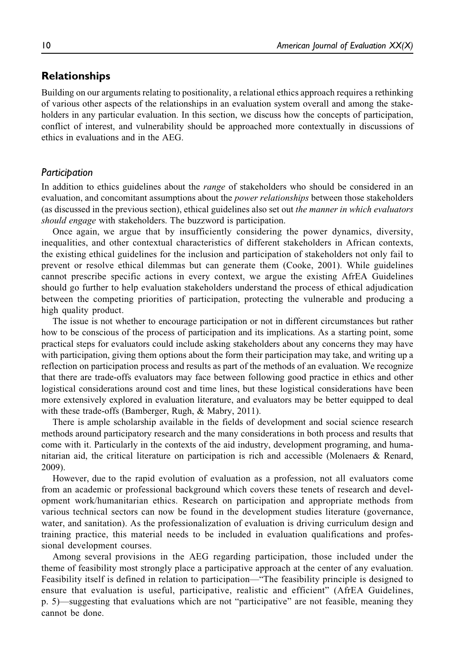# Relationships

Building on our arguments relating to positionality, a relational ethics approach requires a rethinking of various other aspects of the relationships in an evaluation system overall and among the stakeholders in any particular evaluation. In this section, we discuss how the concepts of participation, conflict of interest, and vulnerability should be approached more contextually in discussions of ethics in evaluations and in the AEG.

# Participation

In addition to ethics guidelines about the *range* of stakeholders who should be considered in an evaluation, and concomitant assumptions about the *power relationships* between those stakeholders (as discussed in the previous section), ethical guidelines also set out the manner in which evaluators should engage with stakeholders. The buzzword is participation.

Once again, we argue that by insufficiently considering the power dynamics, diversity, inequalities, and other contextual characteristics of different stakeholders in African contexts, the existing ethical guidelines for the inclusion and participation of stakeholders not only fail to prevent or resolve ethical dilemmas but can generate them (Cooke, 2001). While guidelines cannot prescribe specific actions in every context, we argue the existing AfrEA Guidelines should go further to help evaluation stakeholders understand the process of ethical adjudication between the competing priorities of participation, protecting the vulnerable and producing a high quality product.

The issue is not whether to encourage participation or not in different circumstances but rather how to be conscious of the process of participation and its implications. As a starting point, some practical steps for evaluators could include asking stakeholders about any concerns they may have with participation, giving them options about the form their participation may take, and writing up a reflection on participation process and results as part of the methods of an evaluation. We recognize that there are trade-offs evaluators may face between following good practice in ethics and other logistical considerations around cost and time lines, but these logistical considerations have been more extensively explored in evaluation literature, and evaluators may be better equipped to deal with these trade-offs (Bamberger, Rugh, & Mabry, 2011).

There is ample scholarship available in the fields of development and social science research methods around participatory research and the many considerations in both process and results that come with it. Particularly in the contexts of the aid industry, development programing, and humanitarian aid, the critical literature on participation is rich and accessible (Molenaers & Renard, 2009).

However, due to the rapid evolution of evaluation as a profession, not all evaluators come from an academic or professional background which covers these tenets of research and development work/humanitarian ethics. Research on participation and appropriate methods from various technical sectors can now be found in the development studies literature (governance, water, and sanitation). As the professionalization of evaluation is driving curriculum design and training practice, this material needs to be included in evaluation qualifications and professional development courses.

Among several provisions in the AEG regarding participation, those included under the theme of feasibility most strongly place a participative approach at the center of any evaluation. Feasibility itself is defined in relation to participation—"The feasibility principle is designed to ensure that evaluation is useful, participative, realistic and efficient" (AfrEA Guidelines, p. 5)—suggesting that evaluations which are not "participative" are not feasible, meaning they cannot be done.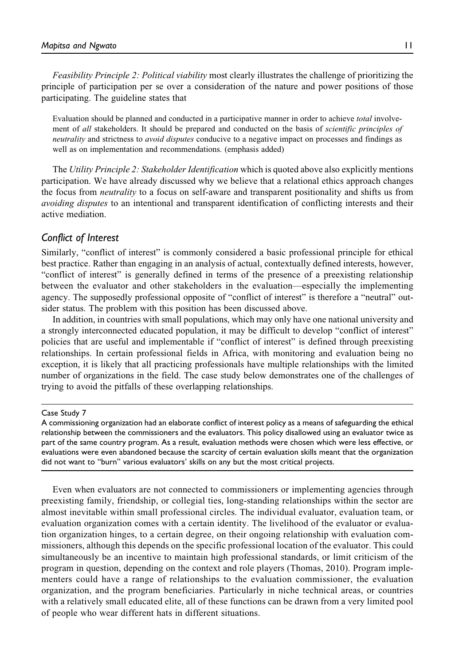Feasibility Principle 2: Political viability most clearly illustrates the challenge of prioritizing the principle of participation per se over a consideration of the nature and power positions of those participating. The guideline states that

Evaluation should be planned and conducted in a participative manner in order to achieve total involvement of all stakeholders. It should be prepared and conducted on the basis of *scientific principles of* neutrality and strictness to *avoid disputes* conducive to a negative impact on processes and findings as well as on implementation and recommendations. (emphasis added)

The Utility Principle 2: Stakeholder Identification which is quoted above also explicitly mentions participation. We have already discussed why we believe that a relational ethics approach changes the focus from *neutrality* to a focus on self-aware and transparent positionality and shifts us from avoiding disputes to an intentional and transparent identification of conflicting interests and their active mediation.

# Conflict of Interest

Similarly, "conflict of interest" is commonly considered a basic professional principle for ethical best practice. Rather than engaging in an analysis of actual, contextually defined interests, however, "conflict of interest" is generally defined in terms of the presence of a preexisting relationship between the evaluator and other stakeholders in the evaluation—especially the implementing agency. The supposedly professional opposite of "conflict of interest" is therefore a "neutral" outsider status. The problem with this position has been discussed above.

In addition, in countries with small populations, which may only have one national university and a strongly interconnected educated population, it may be difficult to develop "conflict of interest" policies that are useful and implementable if "conflict of interest" is defined through preexisting relationships. In certain professional fields in Africa, with monitoring and evaluation being no exception, it is likely that all practicing professionals have multiple relationships with the limited number of organizations in the field. The case study below demonstrates one of the challenges of trying to avoid the pitfalls of these overlapping relationships.

## Case Study 7

A commissioning organization had an elaborate conflict of interest policy as a means of safeguarding the ethical relationship between the commissioners and the evaluators. This policy disallowed using an evaluator twice as part of the same country program. As a result, evaluation methods were chosen which were less effective, or evaluations were even abandoned because the scarcity of certain evaluation skills meant that the organization did not want to "burn" various evaluators' skills on any but the most critical projects.

Even when evaluators are not connected to commissioners or implementing agencies through preexisting family, friendship, or collegial ties, long-standing relationships within the sector are almost inevitable within small professional circles. The individual evaluator, evaluation team, or evaluation organization comes with a certain identity. The livelihood of the evaluator or evaluation organization hinges, to a certain degree, on their ongoing relationship with evaluation commissioners, although this depends on the specific professional location of the evaluator. This could simultaneously be an incentive to maintain high professional standards, or limit criticism of the program in question, depending on the context and role players (Thomas, 2010). Program implementers could have a range of relationships to the evaluation commissioner, the evaluation organization, and the program beneficiaries. Particularly in niche technical areas, or countries with a relatively small educated elite, all of these functions can be drawn from a very limited pool of people who wear different hats in different situations.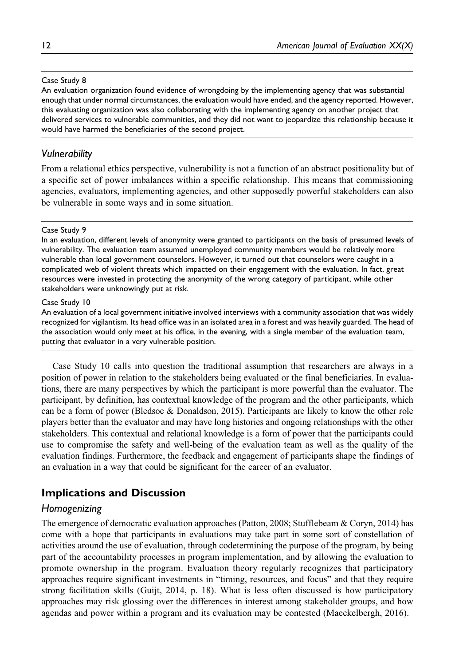## Case Study 8

An evaluation organization found evidence of wrongdoing by the implementing agency that was substantial enough that under normal circumstances, the evaluation would have ended, and the agency reported. However, this evaluating organization was also collaborating with the implementing agency on another project that delivered services to vulnerable communities, and they did not want to jeopardize this relationship because it would have harmed the beneficiaries of the second project.

# Vulnerability

From a relational ethics perspective, vulnerability is not a function of an abstract positionality but of a specific set of power imbalances within a specific relationship. This means that commissioning agencies, evaluators, implementing agencies, and other supposedly powerful stakeholders can also be vulnerable in some ways and in some situation.

## Case Study 9

In an evaluation, different levels of anonymity were granted to participants on the basis of presumed levels of vulnerability. The evaluation team assumed unemployed community members would be relatively more vulnerable than local government counselors. However, it turned out that counselors were caught in a complicated web of violent threats which impacted on their engagement with the evaluation. In fact, great resources were invested in protecting the anonymity of the wrong category of participant, while other stakeholders were unknowingly put at risk.

#### Case Study 10

An evaluation of a local government initiative involved interviews with a community association that was widely recognized for vigilantism. Its head office was in an isolated area in a forest and was heavily guarded. The head of the association would only meet at his office, in the evening, with a single member of the evaluation team, putting that evaluator in a very vulnerable position.

Case Study 10 calls into question the traditional assumption that researchers are always in a position of power in relation to the stakeholders being evaluated or the final beneficiaries. In evaluations, there are many perspectives by which the participant is more powerful than the evaluator. The participant, by definition, has contextual knowledge of the program and the other participants, which can be a form of power (Bledsoe & Donaldson, 2015). Participants are likely to know the other role players better than the evaluator and may have long histories and ongoing relationships with the other stakeholders. This contextual and relational knowledge is a form of power that the participants could use to compromise the safety and well-being of the evaluation team as well as the quality of the evaluation findings. Furthermore, the feedback and engagement of participants shape the findings of an evaluation in a way that could be significant for the career of an evaluator.

# Implications and Discussion

# Homogenizing

The emergence of democratic evaluation approaches (Patton, 2008; Stufflebeam & Coryn, 2014) has come with a hope that participants in evaluations may take part in some sort of constellation of activities around the use of evaluation, through codetermining the purpose of the program, by being part of the accountability processes in program implementation, and by allowing the evaluation to promote ownership in the program. Evaluation theory regularly recognizes that participatory approaches require significant investments in "timing, resources, and focus" and that they require strong facilitation skills (Guijt, 2014, p. 18). What is less often discussed is how participatory approaches may risk glossing over the differences in interest among stakeholder groups, and how agendas and power within a program and its evaluation may be contested (Maeckelbergh, 2016).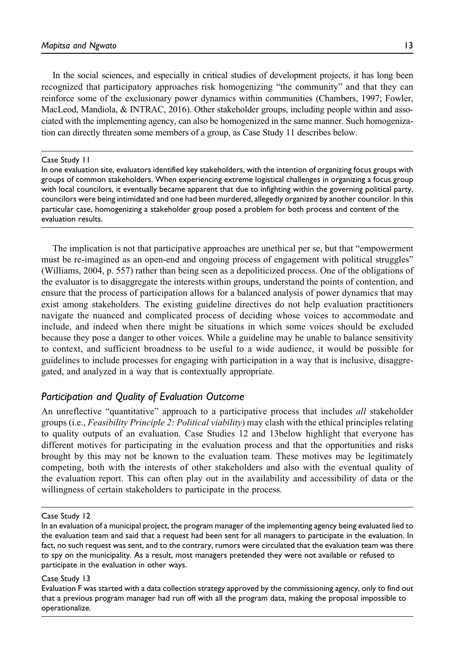In the social sciences, and especially in critical studies of development projects, it has long been recognized that participatory approaches risk homogenizing "the community" and that they can reinforce some of the exclusionary power dynamics within communities (Chambers, 1997; Fowler, MacLeod, Mandiola, & INTRAC, 2016). Other stakeholder groups, including people within and associated with the implementing agency, can also be homogenized in the same manner. Such homogenization can directly threaten some members of a group, as Case Study 11 describes below.

#### Case Study 11

In one evaluation site, evaluators identified key stakeholders, with the intention of organizing focus groups with groups of common stakeholders. When experiencing extreme logistical challenges in organizing a focus group with local councilors, it eventually became apparent that due to infighting within the governing political party, councilors were being intimidated and one had been murdered, allegedly organized by another councilor. In this particular case, homogenizing a stakeholder group posed a problem for both process and content of the evaluation results.

The implication is not that participative approaches are unethical per se, but that "empowerment must be re-imagined as an open-end and ongoing process of engagement with political struggles" (Williams, 2004, p. 557) rather than being seen as a depoliticized process. One of the obligations of the evaluator is to disaggregate the interests within groups, understand the points of contention, and ensure that the process of participation allows for a balanced analysis of power dynamics that may exist among stakeholders. The existing guideline directives do not help evaluation practitioners navigate the nuanced and complicated process of deciding whose voices to accommodate and include, and indeed when there might be situations in which some voices should be excluded because they pose a danger to other voices. While a guideline may be unable to balance sensitivity to context, and sufficient broadness to be useful to a wide audience, it would be possible for guidelines to include processes for engaging with participation in a way that is inclusive, disaggregated, and analyzed in a way that is contextually appropriate.

# Participation and Quality of Evaluation Outcome

An unreflective "quantitative" approach to a participative process that includes *all* stakeholder groups (i.e., Feasibility Principle 2: Political viability) may clash with the ethical principles relating to quality outputs of an evaluation. Case Studies 12 and 13below highlight that everyone has different motives for participating in the evaluation process and that the opportunities and risks brought by this may not be known to the evaluation team. These motives may be legitimately competing, both with the interests of other stakeholders and also with the eventual quality of the evaluation report. This can often play out in the availability and accessibility of data or the willingness of certain stakeholders to participate in the process.

#### Case Study 13

Case Study 12

In an evaluation of a municipal project, the program manager of the implementing agency being evaluated lied to the evaluation team and said that a request had been sent for all managers to participate in the evaluation. In fact, no such request was sent, and to the contrary, rumors were circulated that the evaluation team was there to spy on the municipality. As a result, most managers pretended they were not available or refused to participate in the evaluation in other ways.

Evaluation F was started with a data collection strategy approved by the commissioning agency, only to find out that a previous program manager had run off with all the program data, making the proposal impossible to operationalize.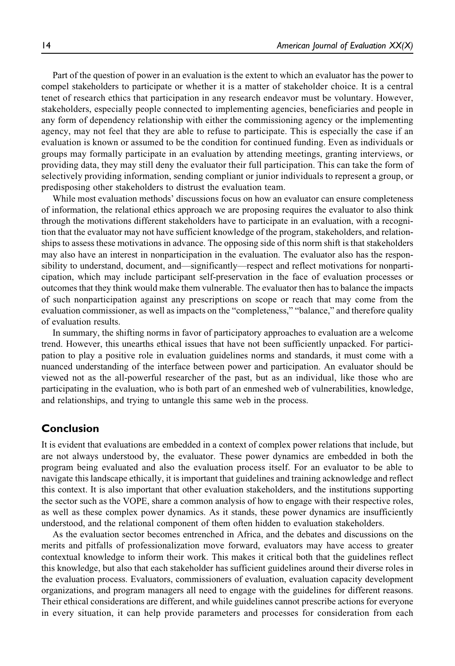Part of the question of power in an evaluation is the extent to which an evaluator has the power to compel stakeholders to participate or whether it is a matter of stakeholder choice. It is a central tenet of research ethics that participation in any research endeavor must be voluntary. However, stakeholders, especially people connected to implementing agencies, beneficiaries and people in any form of dependency relationship with either the commissioning agency or the implementing agency, may not feel that they are able to refuse to participate. This is especially the case if an evaluation is known or assumed to be the condition for continued funding. Even as individuals or groups may formally participate in an evaluation by attending meetings, granting interviews, or providing data, they may still deny the evaluator their full participation. This can take the form of selectively providing information, sending compliant or junior individuals to represent a group, or predisposing other stakeholders to distrust the evaluation team.

While most evaluation methods' discussions focus on how an evaluator can ensure completeness of information, the relational ethics approach we are proposing requires the evaluator to also think through the motivations different stakeholders have to participate in an evaluation, with a recognition that the evaluator may not have sufficient knowledge of the program, stakeholders, and relationships to assess these motivations in advance. The opposing side of this norm shift is that stakeholders may also have an interest in nonparticipation in the evaluation. The evaluator also has the responsibility to understand, document, and—significantly—respect and reflect motivations for nonparticipation, which may include participant self-preservation in the face of evaluation processes or outcomes that they think would make them vulnerable. The evaluator then has to balance the impacts of such nonparticipation against any prescriptions on scope or reach that may come from the evaluation commissioner, as well as impacts on the "completeness," "balance," and therefore quality of evaluation results.

In summary, the shifting norms in favor of participatory approaches to evaluation are a welcome trend. However, this unearths ethical issues that have not been sufficiently unpacked. For participation to play a positive role in evaluation guidelines norms and standards, it must come with a nuanced understanding of the interface between power and participation. An evaluator should be viewed not as the all-powerful researcher of the past, but as an individual, like those who are participating in the evaluation, who is both part of an enmeshed web of vulnerabilities, knowledge, and relationships, and trying to untangle this same web in the process.

# Conclusion

It is evident that evaluations are embedded in a context of complex power relations that include, but are not always understood by, the evaluator. These power dynamics are embedded in both the program being evaluated and also the evaluation process itself. For an evaluator to be able to navigate this landscape ethically, it is important that guidelines and training acknowledge and reflect this context. It is also important that other evaluation stakeholders, and the institutions supporting the sector such as the VOPE, share a common analysis of how to engage with their respective roles, as well as these complex power dynamics. As it stands, these power dynamics are insufficiently understood, and the relational component of them often hidden to evaluation stakeholders.

As the evaluation sector becomes entrenched in Africa, and the debates and discussions on the merits and pitfalls of professionalization move forward, evaluators may have access to greater contextual knowledge to inform their work. This makes it critical both that the guidelines reflect this knowledge, but also that each stakeholder has sufficient guidelines around their diverse roles in the evaluation process. Evaluators, commissioners of evaluation, evaluation capacity development organizations, and program managers all need to engage with the guidelines for different reasons. Their ethical considerations are different, and while guidelines cannot prescribe actions for everyone in every situation, it can help provide parameters and processes for consideration from each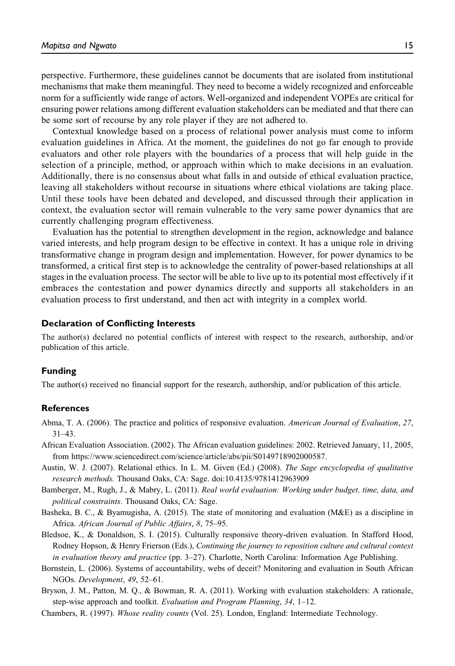perspective. Furthermore, these guidelines cannot be documents that are isolated from institutional mechanisms that make them meaningful. They need to become a widely recognized and enforceable norm for a sufficiently wide range of actors. Well-organized and independent VOPEs are critical for ensuring power relations among different evaluation stakeholders can be mediated and that there can be some sort of recourse by any role player if they are not adhered to.

Contextual knowledge based on a process of relational power analysis must come to inform evaluation guidelines in Africa. At the moment, the guidelines do not go far enough to provide evaluators and other role players with the boundaries of a process that will help guide in the selection of a principle, method, or approach within which to make decisions in an evaluation. Additionally, there is no consensus about what falls in and outside of ethical evaluation practice, leaving all stakeholders without recourse in situations where ethical violations are taking place. Until these tools have been debated and developed, and discussed through their application in context, the evaluation sector will remain vulnerable to the very same power dynamics that are currently challenging program effectiveness.

Evaluation has the potential to strengthen development in the region, acknowledge and balance varied interests, and help program design to be effective in context. It has a unique role in driving transformative change in program design and implementation. However, for power dynamics to be transformed, a critical first step is to acknowledge the centrality of power-based relationships at all stages in the evaluation process. The sector will be able to live up to its potential most effectively if it embraces the contestation and power dynamics directly and supports all stakeholders in an evaluation process to first understand, and then act with integrity in a complex world.

#### Declaration of Conflicting Interests

The author(s) declared no potential conflicts of interest with respect to the research, authorship, and/or publication of this article.

## Funding

The author(s) received no financial support for the research, authorship, and/or publication of this article.

## **References**

- Abma, T. A. (2006). The practice and politics of responsive evaluation. American Journal of Evaluation, 27, 31–43.
- African Evaluation Association. (2002). The African evaluation guidelines: 2002. Retrieved January, 11, 2005, from [https://www.sciencedirect.com/science/article/abs/pii/S0149718902000587.](https://www.sciencedirect.com/science/article/abs/pii/S0149718902000587)
- Austin, W. J. (2007). Relational ethics. In L. M. Given (Ed.) (2008). The Sage encyclopedia of qualitative research methods. Thousand Oaks, CA: Sage. doi:10.4135/9781412963909
- Bamberger, M., Rugh, J., & Mabry, L. (2011). Real world evaluation: Working under budget, time, data, and political constraints. Thousand Oaks, CA: Sage.
- Basheka, B. C., & Byamugisha, A. (2015). The state of monitoring and evaluation (M&E) as a discipline in Africa. African Journal of Public Affairs, 8, 75–95.
- Bledsoe, K., & Donaldson, S. I. (2015). Culturally responsive theory-driven evaluation. In Stafford Hood, Rodney Hopson, & Henry Frierson (Eds.), Continuing the journey to reposition culture and cultural context in evaluation theory and practice (pp. 3–27). Charlotte, North Carolina: Information Age Publishing.
- Bornstein, L. (2006). Systems of accountability, webs of deceit? Monitoring and evaluation in South African NGOs. Development, 49, 52–61.
- Bryson, J. M., Patton, M. Q., & Bowman, R. A. (2011). Working with evaluation stakeholders: A rationale, step-wise approach and toolkit. Evaluation and Program Planning, 34, 1–12.
- Chambers, R. (1997). Whose reality counts (Vol. 25). London, England: Intermediate Technology.